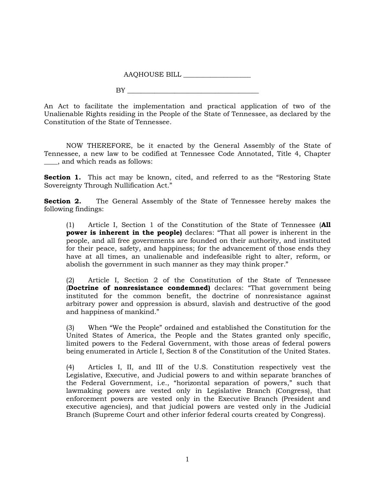AAQHOUSE BILL \_\_\_\_\_\_\_\_\_\_\_\_\_\_\_\_\_\_\_\_

 $BY$ 

An Act to facilitate the implementation and practical application of two of the Unalienable Rights residing in the People of the State of Tennessee, as declared by the Constitution of the State of Tennessee.

NOW THEREFORE, be it enacted by the General Assembly of the State of Tennessee, a new law to be codified at Tennessee Code Annotated, Title 4, Chapter \_\_\_\_, and which reads as follows:

**Section 1.** This act may be known, cited, and referred to as the "Restoring State" Sovereignty Through Nullification Act."

**Section 2.** The General Assembly of the State of Tennessee hereby makes the following findings:

(1) Article I, Section 1 of the Constitution of the State of Tennessee (**All power is inherent in the people)** declares: "That all power is inherent in the people, and all free governments are founded on their authority, and instituted for their peace, safety, and happiness; for the advancement of those ends they have at all times, an unalienable and indefeasible right to alter, reform, or abolish the government in such manner as they may think proper."

(2) Article I, Section 2 of the Constitution of the State of Tennessee (**Doctrine of nonresistance condemned)** declares: "That government being instituted for the common benefit, the doctrine of nonresistance against arbitrary power and oppression is absurd, slavish and destructive of the good and happiness of mankind."

(3) When "We the People" ordained and established the Constitution for the United States of America, the People and the States granted only specific, limited powers to the Federal Government, with those areas of federal powers being enumerated in Article I, Section 8 of the Constitution of the United States.

(4) Articles I, II, and III of the U.S. Constitution respectively vest the Legislative, Executive, and Judicial powers to and within separate branches of the Federal Government, i.e., "horizontal separation of powers," such that lawmaking powers are vested only in Legislative Branch (Congress), that enforcement powers are vested only in the Executive Branch (President and executive agencies), and that judicial powers are vested only in the Judicial Branch (Supreme Court and other inferior federal courts created by Congress).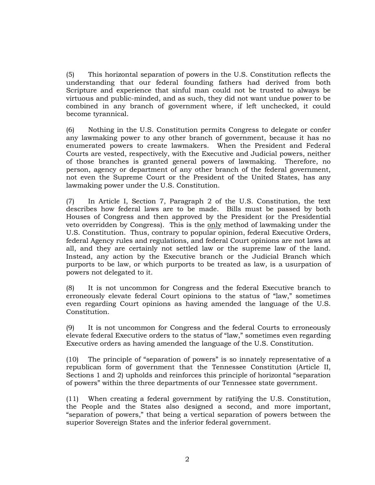(5) This horizontal separation of powers in the U.S. Constitution reflects the understanding that our federal founding fathers had derived from both Scripture and experience that sinful man could not be trusted to always be virtuous and public-minded, and as such, they did not want undue power to be combined in any branch of government where, if left unchecked, it could become tyrannical.

(6) Nothing in the U.S. Constitution permits Congress to delegate or confer any lawmaking power to any other branch of government, because it has no enumerated powers to create lawmakers. When the President and Federal Courts are vested, respectively, with the Executive and Judicial powers, neither of those branches is granted general powers of lawmaking. Therefore, no person, agency or department of any other branch of the federal government, not even the Supreme Court or the President of the United States, has any lawmaking power under the U.S. Constitution.

(7) In Article I, Section 7, Paragraph 2 of the U.S. Constitution, the text describes how federal laws are to be made. Bills must be passed by both Houses of Congress and then approved by the President (or the Presidential veto overridden by Congress). This is the only method of lawmaking under the U.S. Constitution. Thus, contrary to popular opinion, federal Executive Orders, federal Agency rules and regulations, and federal Court opinions are not laws at all, and they are certainly not settled law or the supreme law of the land. Instead, any action by the Executive branch or the Judicial Branch which purports to be law, or which purports to be treated as law, is a usurpation of powers not delegated to it.

(8) It is not uncommon for Congress and the federal Executive branch to erroneously elevate federal Court opinions to the status of "law," sometimes even regarding Court opinions as having amended the language of the U.S. Constitution.

(9) It is not uncommon for Congress and the federal Courts to erroneously elevate federal Executive orders to the status of "law," sometimes even regarding Executive orders as having amended the language of the U.S. Constitution.

(10) The principle of "separation of powers" is so innately representative of a republican form of government that the Tennessee Constitution (Article II, Sections 1 and 2) upholds and reinforces this principle of horizontal "separation of powers" within the three departments of our Tennessee state government.

(11) When creating a federal government by ratifying the U.S. Constitution, the People and the States also designed a second, and more important, "separation of powers," that being a vertical separation of powers between the superior Sovereign States and the inferior federal government.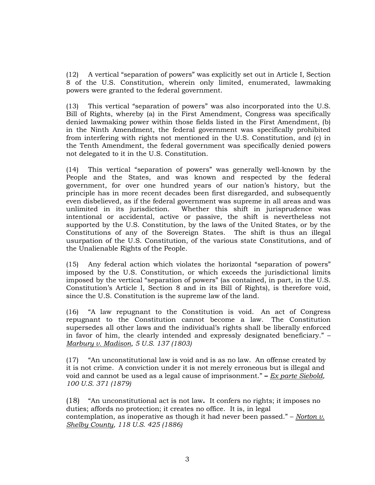(12) A vertical "separation of powers" was explicitly set out in Article I, Section 8 of the U.S. Constitution, wherein only limited, enumerated, lawmaking powers were granted to the federal government.

(13) This vertical "separation of powers" was also incorporated into the U.S. Bill of Rights, whereby (a) in the First Amendment, Congress was specifically denied lawmaking power within those fields listed in the First Amendment, (b) in the Ninth Amendment, the federal government was specifically prohibited from interfering with rights not mentioned in the U.S. Constitution, and (c) in the Tenth Amendment, the federal government was specifically denied powers not delegated to it in the U.S. Constitution.

(14) This vertical "separation of powers" was generally well-known by the People and the States, and was known and respected by the federal government, for over one hundred years of our nation's history, but the principle has in more recent decades been first disregarded, and subsequently even disbelieved, as if the federal government was supreme in all areas and was unlimited in its jurisdiction. Whether this shift in jurisprudence was intentional or accidental, active or passive, the shift is nevertheless not supported by the U.S. Constitution, by the laws of the United States, or by the Constitutions of any of the Sovereign States. The shift is thus an illegal usurpation of the U.S. Constitution, of the various state Constitutions, and of the Unalienable Rights of the People.

(15) Any federal action which violates the horizontal "separation of powers" imposed by the U.S. Constitution, or which exceeds the jurisdictional limits imposed by the vertical "separation of powers" (as contained, in part, in the U.S. Constitution's Article I, Section 8 and in its Bill of Rights), is therefore void, since the U.S. Constitution is the supreme law of the land.

(16) "A law repugnant to the Constitution is void. An act of Congress repugnant to the Constitution cannot become a law. The Constitution supersedes all other laws and the individual's rights shall be liberally enforced in favor of him, the clearly intended and expressly designated beneficiary." – *Marbury v. Madison, 5 U.S. 137 (1803)*

(17) "An unconstitutional law is void and is as no law. An offense created by it is not crime.A conviction under it is not merely erroneous but is illegal and void and cannot be used as a legal cause of imprisonment." **–** *Ex parte Siebold, 100 U.S. 371 (1879)*

(18) "An unconstitutional act is not law**.** It confers no rights; it imposes no duties; affords no protection; it creates no office.It is, in legal contemplation, as inoperative as though it had never been passed." – *Norton v. Shelby County, 118 U.S. 425 (1886)*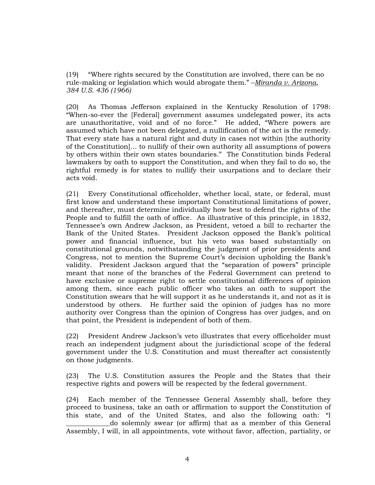(19) "Where rights secured by the Constitution are involved, there can be no rule-making or legislation which would abrogate them." –*Miranda v. Arizona, 384 U.S. 436 (1966)*

(20) As Thomas Jefferson explained in the Kentucky Resolution of 1798: "When-so-ever the [Federal] government assumes undelegated power, its acts are unauthoritative, void and of no force." He added, "Where powers are assumed which have not been delegated, a nullification of the act is the remedy. That every state has a natural right and duty in cases not within [the authority of the Constitution]… to nullify of their own authority all assumptions of powers by others within their own states boundaries." The Constitution binds Federal lawmakers by oath to support the Constitution, and when they fail to do so, the rightful remedy is for states to nullify their usurpations and to declare their acts void.

(21) Every Constitutional officeholder, whether local, state, or federal, must first know and understand these important Constitutional limitations of power, and thereafter, must determine individually how best to defend the rights of the People and to fulfill the oath of office. As illustrative of this principle, in 1832, Tennessee's own Andrew Jackson, as President, vetoed a bill to recharter the Bank of the United States. President Jackson opposed the Bank's political power and financial influence, but his veto was based substantially on constitutional grounds, notwithstanding the judgment of prior presidents and Congress, not to mention the Supreme Court's decision upholding the Bank's validity. President Jackson argued that the "separation of powers" principle meant that none of the branches of the Federal Government can pretend to have exclusive or supreme right to settle constitutional differences of opinion among them, since each public officer who takes an oath to support the Constitution swears that he will support it as he understands it, and not as it is understood by others. He further said the opinion of judges has no more authority over Congress than the opinion of Congress has over judges, and on that point, the President is independent of both of them.

(22) President Andrew Jackson's veto illustrates that every officeholder must reach an independent judgment about the jurisdictional scope of the federal government under the U.S. Constitution and must thereafter act consistently on those judgments.

(23) The U.S. Constitution assures the People and the States that their respective rights and powers will be respected by the federal government.

(24) Each member of the Tennessee General Assembly shall, before they proceed to business, take an oath or affirmation to support the Constitution of this state, and of the United States, and also the following oath: "I \_\_\_\_\_\_\_\_\_\_\_\_\_do solemnly swear (or affirm) that as a member of this General Assembly, I will, in all appointments, vote without favor, affection, partiality, or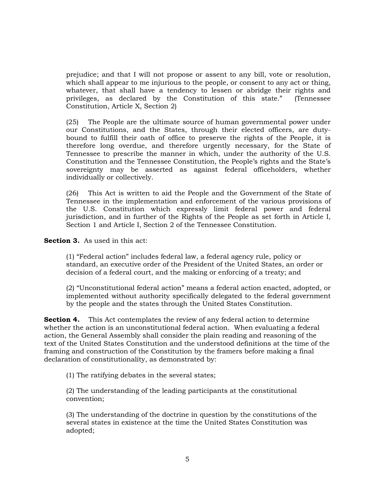prejudice; and that I will not propose or assent to any bill, vote or resolution, which shall appear to me injurious to the people, or consent to any act or thing, whatever, that shall have a tendency to lessen or abridge their rights and privileges, as declared by the Constitution of this state." (Tennessee Constitution, Article X, Section 2)

(25) The People are the ultimate source of human governmental power under our Constitutions, and the States, through their elected officers, are dutybound to fulfill their oath of office to preserve the rights of the People, it is therefore long overdue, and therefore urgently necessary, for the State of Tennessee to prescribe the manner in which, under the authority of the U.S. Constitution and the Tennessee Constitution, the People's rights and the State's sovereignty may be asserted as against federal officeholders, whether individually or collectively.

(26) This Act is written to aid the People and the Government of the State of Tennessee in the implementation and enforcement of the various provisions of the U.S. Constitution which expressly limit federal power and federal jurisdiction, and in further of the Rights of the People as set forth in Article I, Section 1 and Article I, Section 2 of the Tennessee Constitution.

**Section 3.** As used in this act:

(1) "Federal action" includes federal law, a federal agency rule, policy or standard, an executive order of the President of the United States, an order or decision of a federal court, and the making or enforcing of a treaty; and

(2) "Unconstitutional federal action" means a federal action enacted, adopted, or implemented without authority specifically delegated to the federal government by the people and the states through the United States Constitution.

**Section 4.** This Act contemplates the review of any federal action to determine whether the action is an unconstitutional federal action. When evaluating a federal action, the General Assembly shall consider the plain reading and reasoning of the text of the United States Constitution and the understood definitions at the time of the framing and construction of the Constitution by the framers before making a final declaration of constitutionality, as demonstrated by:

(1) The ratifying debates in the several states;

(2) The understanding of the leading participants at the constitutional convention;

(3) The understanding of the doctrine in question by the constitutions of the several states in existence at the time the United States Constitution was adopted;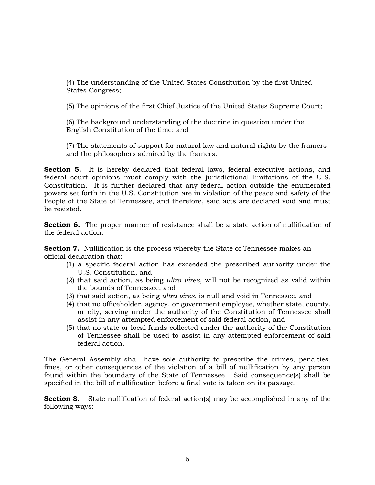(4) The understanding of the United States Constitution by the first United States Congress;

(5) The opinions of the first Chief Justice of the United States Supreme Court;

(6) The background understanding of the doctrine in question under the English Constitution of the time; and

(7) The statements of support for natural law and natural rights by the framers and the philosophers admired by the framers.

**Section 5.** It is hereby declared that federal laws, federal executive actions, and federal court opinions must comply with the jurisdictional limitations of the U.S. Constitution. It is further declared that any federal action outside the enumerated powers set forth in the U.S. Constitution are in violation of the peace and safety of the People of the State of Tennessee, and therefore, said acts are declared void and must be resisted.

**Section 6.** The proper manner of resistance shall be a state action of nullification of the federal action.

**Section 7.** Nullification is the process whereby the State of Tennessee makes an official declaration that:

- (1) a specific federal action has exceeded the prescribed authority under the U.S. Constitution, and
- (2) that said action, as being *ultra vires*, will not be recognized as valid within the bounds of Tennessee, and
- (3) that said action, as being *ultra vires*, is null and void in Tennessee, and
- (4) that no officeholder, agency, or government employee, whether state, county, or city, serving under the authority of the Constitution of Tennessee shall assist in any attempted enforcement of said federal action, and
- (5) that no state or local funds collected under the authority of the Constitution of Tennessee shall be used to assist in any attempted enforcement of said federal action.

The General Assembly shall have sole authority to prescribe the crimes, penalties, fines, or other consequences of the violation of a bill of nullification by any person found within the boundary of the State of Tennessee. Said consequence(s) shall be specified in the bill of nullification before a final vote is taken on its passage.

**Section 8.** State nullification of federal action(s) may be accomplished in any of the following ways: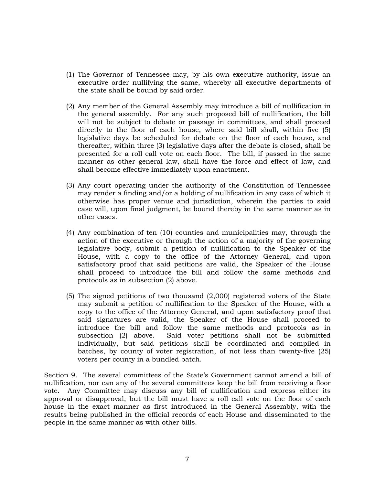- (1) The Governor of Tennessee may, by his own executive authority, issue an executive order nullifying the same, whereby all executive departments of the state shall be bound by said order.
- (2) Any member of the General Assembly may introduce a bill of nullification in the general assembly. For any such proposed bill of nullification, the bill will not be subject to debate or passage in committees, and shall proceed directly to the floor of each house, where said bill shall, within five (5) legislative days be scheduled for debate on the floor of each house, and thereafter, within three (3) legislative days after the debate is closed, shall be presented for a roll call vote on each floor. The bill, if passed in the same manner as other general law, shall have the force and effect of law, and shall become effective immediately upon enactment.
- (3) Any court operating under the authority of the Constitution of Tennessee may render a finding and/or a holding of nullification in any case of which it otherwise has proper venue and jurisdiction, wherein the parties to said case will, upon final judgment, be bound thereby in the same manner as in other cases.
- (4) Any combination of ten (10) counties and municipalities may, through the action of the executive or through the action of a majority of the governing legislative body, submit a petition of nullification to the Speaker of the House, with a copy to the office of the Attorney General, and upon satisfactory proof that said petitions are valid, the Speaker of the House shall proceed to introduce the bill and follow the same methods and protocols as in subsection (2) above.
- (5) The signed petitions of two thousand (2,000) registered voters of the State may submit a petition of nullification to the Speaker of the House, with a copy to the office of the Attorney General, and upon satisfactory proof that said signatures are valid, the Speaker of the House shall proceed to introduce the bill and follow the same methods and protocols as in subsection (2) above. Said voter petitions shall not be submitted individually, but said petitions shall be coordinated and compiled in batches, by county of voter registration, of not less than twenty-five (25) voters per county in a bundled batch.

Section 9. The several committees of the State's Government cannot amend a bill of nullification, nor can any of the several committees keep the bill from receiving a floor vote. Any Committee may discuss any bill of nullification and express either its approval or disapproval, but the bill must have a roll call vote on the floor of each house in the exact manner as first introduced in the General Assembly, with the results being published in the official records of each House and disseminated to the people in the same manner as with other bills.